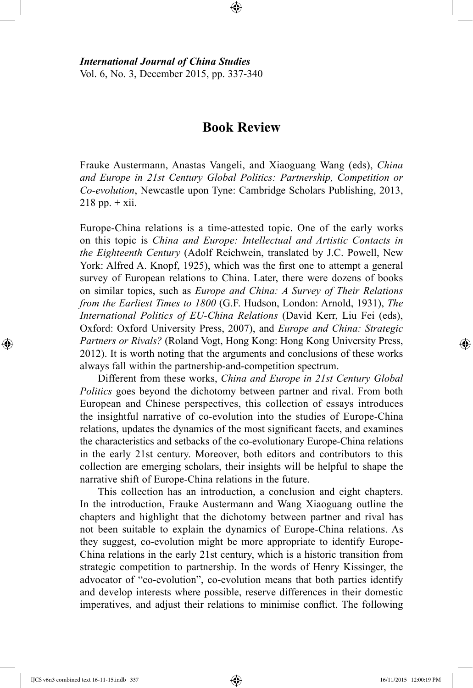*International Journal of China Studies* Vol. 6, No. 3, December 2015, pp. 337-340

## **Book Review**

⊕

Frauke Austermann, Anastas Vangeli, and Xiaoguang Wang (eds), *China and Europe in 21st Century Global Politics: Partnership, Competition or Co-evolution*, Newcastle upon Tyne: Cambridge Scholars Publishing, 2013,  $218$  pp.  $+$  xii.

Europe-China relations is a time-attested topic. One of the early works on this topic is *China and Europe: Intellectual and Artistic Contacts in the Eighteenth Century* (Adolf Reichwein, translated by J.C. Powell, New York: Alfred A. Knopf, 1925), which was the first one to attempt a general survey of European relations to China. Later, there were dozens of books on similar topics, such as *Europe and China: A Survey of Their Relations from the Earliest Times to 1800* (G.F. Hudson, London: Arnold, 1931), *The International Politics of EU-China Relations* (David Kerr, Liu Fei (eds), Oxford: Oxford University Press, 2007), and *Europe and China: Strategic Partners or Rivals?* (Roland Vogt, Hong Kong: Hong Kong University Press, 2012). It is worth noting that the arguments and conclusions of these works always fall within the partnership-and-competition spectrum.

Different from these works, *China and Europe in 21st Century Global Politics* goes beyond the dichotomy between partner and rival. From both European and Chinese perspectives, this collection of essays introduces the insightful narrative of co-evolution into the studies of Europe-China relations, updates the dynamics of the most significant facets, and examines the characteristics and setbacks of the co-evolutionary Europe-China relations in the early 21st century. Moreover, both editors and contributors to this collection are emerging scholars, their insights will be helpful to shape the narrative shift of Europe-China relations in the future.

This collection has an introduction, a conclusion and eight chapters. In the introduction, Frauke Austermann and Wang Xiaoguang outline the chapters and highlight that the dichotomy between partner and rival has not been suitable to explain the dynamics of Europe-China relations. As they suggest, co-evolution might be more appropriate to identify Europe-China relations in the early 21st century, which is a historic transition from strategic competition to partnership. In the words of Henry Kissinger, the advocator of "co-evolution", co-evolution means that both parties identify and develop interests where possible, reserve differences in their domestic imperatives, and adjust their relations to minimise conflict. The following

IJCS v6n3 combined text 16-11-15.indb 337 16/11/2015 12:00:19 PM

⊕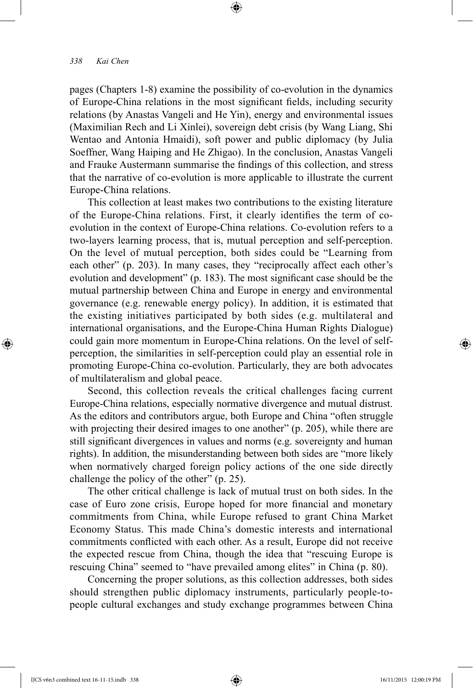## *338 Kai Chen*

pages (Chapters 1-8) examine the possibility of co-evolution in the dynamics of Europe-China relations in the most significant fields, including security relations (by Anastas Vangeli and He Yin), energy and environmental issues (Maximilian Rech and Li Xinlei), sovereign debt crisis (by Wang Liang, Shi Wentao and Antonia Hmaidi), soft power and public diplomacy (by Julia Soeffner, Wang Haiping and He Zhigao). In the conclusion, Anastas Vangeli and Frauke Austermann summarise the findings of this collection, and stress that the narrative of co-evolution is more applicable to illustrate the current Europe-China relations.

⊕

This collection at least makes two contributions to the existing literature of the Europe-China relations. First, it clearly identifies the term of coevolution in the context of Europe-China relations. Co-evolution refers to a two-layers learning process, that is, mutual perception and self-perception. On the level of mutual perception, both sides could be "Learning from each other" (p. 203). In many cases, they "reciprocally affect each other's evolution and development" (p. 183). The most significant case should be the mutual partnership between China and Europe in energy and environmental governance (e.g. renewable energy policy). In addition, it is estimated that the existing initiatives participated by both sides (e.g. multilateral and international organisations, and the Europe-China Human Rights Dialogue) could gain more momentum in Europe-China relations. On the level of selfperception, the similarities in self-perception could play an essential role in promoting Europe-China co-evolution. Particularly, they are both advocates of multilateralism and global peace.

Second, this collection reveals the critical challenges facing current Europe-China relations, especially normative divergence and mutual distrust. As the editors and contributors argue, both Europe and China "often struggle with projecting their desired images to one another" (p. 205), while there are still significant divergences in values and norms (e.g. sovereignty and human rights). In addition, the misunderstanding between both sides are "more likely when normatively charged foreign policy actions of the one side directly challenge the policy of the other" (p. 25).

The other critical challenge is lack of mutual trust on both sides. In the case of Euro zone crisis, Europe hoped for more financial and monetary commitments from China, while Europe refused to grant China Market Economy Status. This made China's domestic interests and international commitments conflicted with each other. As a result, Europe did not receive the expected rescue from China, though the idea that "rescuing Europe is rescuing China" seemed to "have prevailed among elites" in China (p. 80).

Concerning the proper solutions, as this collection addresses, both sides should strengthen public diplomacy instruments, particularly people-topeople cultural exchanges and study exchange programmes between China

IJCS v6n3 combined text 16-11-15.indb 338 16/11/2015 12:00:19 PM

⊕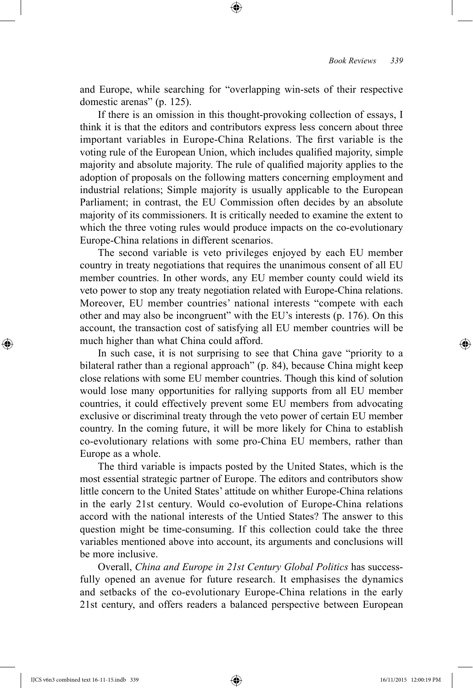and Europe, while searching for "overlapping win-sets of their respective domestic arenas" (p. 125).

⊕

If there is an omission in this thought-provoking collection of essays, I think it is that the editors and contributors express less concern about three important variables in Europe-China Relations. The first variable is the voting rule of the European Union, which includes qualified majority, simple majority and absolute majority. The rule of qualified majority applies to the adoption of proposals on the following matters concerning employment and industrial relations; Simple majority is usually applicable to the European Parliament; in contrast, the EU Commission often decides by an absolute majority of its commissioners. It is critically needed to examine the extent to which the three voting rules would produce impacts on the co-evolutionary Europe-China relations in different scenarios.

The second variable is veto privileges enjoyed by each EU member country in treaty negotiations that requires the unanimous consent of all EU member countries. In other words, any EU member county could wield its veto power to stop any treaty negotiation related with Europe-China relations. Moreover, EU member countries' national interests "compete with each other and may also be incongruent" with the EU's interests (p. 176). On this account, the transaction cost of satisfying all EU member countries will be much higher than what China could afford.

In such case, it is not surprising to see that China gave "priority to a bilateral rather than a regional approach" (p. 84), because China might keep close relations with some EU member countries. Though this kind of solution would lose many opportunities for rallying supports from all EU member countries, it could effectively prevent some EU members from advocating exclusive or discriminal treaty through the veto power of certain EU member country. In the coming future, it will be more likely for China to establish co-evolutionary relations with some pro-China EU members, rather than Europe as a whole.

The third variable is impacts posted by the United States, which is the most essential strategic partner of Europe. The editors and contributors show little concern to the United States' attitude on whither Europe-China relations in the early 21st century. Would co-evolution of Europe-China relations accord with the national interests of the Untied States? The answer to this question might be time-consuming. If this collection could take the three variables mentioned above into account, its arguments and conclusions will be more inclusive.

Overall, *China and Europe in 21st Century Global Politics* has successfully opened an avenue for future research. It emphasises the dynamics and setbacks of the co-evolutionary Europe-China relations in the early 21st century, and offers readers a balanced perspective between European

IJCS v6n3 combined text 16-11-15.indb 339 16/11/2015 12:00:19 PM

⊕